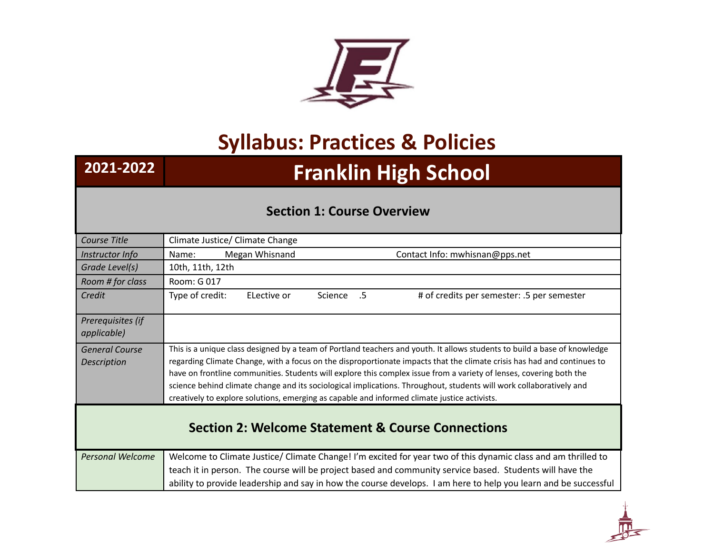

# **Syllabus: Practices & Policies**

# **2021-2022 Franklin High School**

# **Section 1: Course Overview**

| Course Title                                                 | Climate Justice/ Climate Change                                                                                                                                                                                                                                                                                                                                                                                                                                                                                                                                                                    |  |
|--------------------------------------------------------------|----------------------------------------------------------------------------------------------------------------------------------------------------------------------------------------------------------------------------------------------------------------------------------------------------------------------------------------------------------------------------------------------------------------------------------------------------------------------------------------------------------------------------------------------------------------------------------------------------|--|
| Instructor Info                                              | Megan Whisnand<br>Contact Info: mwhisnan@pps.net<br>Name:                                                                                                                                                                                                                                                                                                                                                                                                                                                                                                                                          |  |
| Grade Level(s)                                               | 10th, 11th, 12th                                                                                                                                                                                                                                                                                                                                                                                                                                                                                                                                                                                   |  |
| Room # for class                                             | Room: G 017                                                                                                                                                                                                                                                                                                                                                                                                                                                                                                                                                                                        |  |
| Credit                                                       | Type of credit:<br># of credits per semester: .5 per semester<br>ELective or<br>Science<br>$.5\,$                                                                                                                                                                                                                                                                                                                                                                                                                                                                                                  |  |
| Prerequisites (if<br>applicable)                             |                                                                                                                                                                                                                                                                                                                                                                                                                                                                                                                                                                                                    |  |
| <b>General Course</b><br><b>Description</b>                  | This is a unique class designed by a team of Portland teachers and youth. It allows students to build a base of knowledge<br>regarding Climate Change, with a focus on the disproportionate impacts that the climate crisis has had and continues to<br>have on frontline communities. Students will explore this complex issue from a variety of lenses, covering both the<br>science behind climate change and its sociological implications. Throughout, students will work collaboratively and<br>creatively to explore solutions, emerging as capable and informed climate justice activists. |  |
| <b>Section 2: Welcome Statement &amp; Course Connections</b> |                                                                                                                                                                                                                                                                                                                                                                                                                                                                                                                                                                                                    |  |
| <b>Personal Welcome</b>                                      | Welcome to Climate Justice/ Climate Change! I'm excited for year two of this dynamic class and am thrilled to                                                                                                                                                                                                                                                                                                                                                                                                                                                                                      |  |
|                                                              | teach it in person. The course will be project based and community service based. Students will have the                                                                                                                                                                                                                                                                                                                                                                                                                                                                                           |  |
|                                                              | ability to provide leadership and say in how the course develops. I am here to help you learn and be successful                                                                                                                                                                                                                                                                                                                                                                                                                                                                                    |  |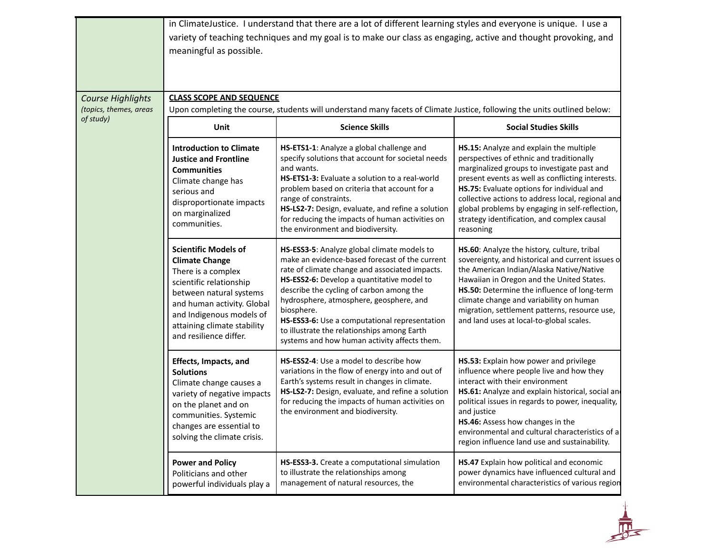|                                             | meaningful as possible.                                                                                                                                                                                                                             | in ClimateJustice. I understand that there are a lot of different learning styles and everyone is unique. I use a<br>variety of teaching techniques and my goal is to make our class as engaging, active and thought provoking, and                                                                                                                                                                                                                |                                                                                                                                                                                                                                                                                                                                                                                                          |
|---------------------------------------------|-----------------------------------------------------------------------------------------------------------------------------------------------------------------------------------------------------------------------------------------------------|----------------------------------------------------------------------------------------------------------------------------------------------------------------------------------------------------------------------------------------------------------------------------------------------------------------------------------------------------------------------------------------------------------------------------------------------------|----------------------------------------------------------------------------------------------------------------------------------------------------------------------------------------------------------------------------------------------------------------------------------------------------------------------------------------------------------------------------------------------------------|
| Course Highlights<br>(topics, themes, areas | <b>CLASS SCOPE AND SEQUENCE</b>                                                                                                                                                                                                                     |                                                                                                                                                                                                                                                                                                                                                                                                                                                    |                                                                                                                                                                                                                                                                                                                                                                                                          |
| of study)                                   | Unit                                                                                                                                                                                                                                                | Upon completing the course, students will understand many facets of Climate Justice, following the units outlined below:<br><b>Science Skills</b>                                                                                                                                                                                                                                                                                                  | <b>Social Studies Skills</b>                                                                                                                                                                                                                                                                                                                                                                             |
|                                             | <b>Introduction to Climate</b><br><b>Justice and Frontline</b><br><b>Communities</b><br>Climate change has<br>serious and<br>disproportionate impacts<br>on marginalized<br>communities.                                                            | HS-ETS1-1: Analyze a global challenge and<br>specify solutions that account for societal needs<br>and wants.<br><b>HS-ETS1-3:</b> Evaluate a solution to a real-world<br>problem based on criteria that account for a<br>range of constraints.<br>HS-LS2-7: Design, evaluate, and refine a solution<br>for reducing the impacts of human activities on<br>the environment and biodiversity.                                                        | HS.15: Analyze and explain the multiple<br>perspectives of ethnic and traditionally<br>marginalized groups to investigate past and<br>present events as well as conflicting interests.<br>HS.75: Evaluate options for individual and<br>collective actions to address local, regional and<br>global problems by engaging in self-reflection,<br>strategy identification, and complex causal<br>reasoning |
|                                             | <b>Scientific Models of</b><br><b>Climate Change</b><br>There is a complex<br>scientific relationship<br>between natural systems<br>and human activity. Global<br>and Indigenous models of<br>attaining climate stability<br>and resilience differ. | HS-ESS3-5: Analyze global climate models to<br>make an evidence-based forecast of the current<br>rate of climate change and associated impacts.<br>HS-ESS2-6: Develop a quantitative model to<br>describe the cycling of carbon among the<br>hydrosphere, atmosphere, geosphere, and<br>biosphere.<br>HS-ESS3-6: Use a computational representation<br>to illustrate the relationships among Earth<br>systems and how human activity affects them. | HS.60: Analyze the history, culture, tribal<br>sovereignty, and historical and current issues o<br>the American Indian/Alaska Native/Native<br>Hawaiian in Oregon and the United States.<br>HS.50: Determine the influence of long-term<br>climate change and variability on human<br>migration, settlement patterns, resource use,<br>and land uses at local-to-global scales.                          |
|                                             | <b>Effects, Impacts, and</b><br><b>Solutions</b><br>Climate change causes a<br>variety of negative impacts<br>on the planet and on<br>communities. Systemic<br>changes are essential to<br>solving the climate crisis.                              | HS-ESS2-4: Use a model to describe how<br>variations in the flow of energy into and out of<br>Earth's systems result in changes in climate.<br>HS-LS2-7: Design, evaluate, and refine a solution<br>for reducing the impacts of human activities on<br>the environment and biodiversity.                                                                                                                                                           | HS.53: Explain how power and privilege<br>influence where people live and how they<br>interact with their environment<br>HS.61: Analyze and explain historical, social and<br>political issues in regards to power, inequality,<br>and justice<br>HS.46: Assess how changes in the<br>environmental and cultural characteristics of a<br>region influence land use and sustainability.                   |
|                                             | <b>Power and Policy</b><br>Politicians and other<br>powerful individuals play a                                                                                                                                                                     | HS-ESS3-3. Create a computational simulation<br>to illustrate the relationships among<br>management of natural resources, the                                                                                                                                                                                                                                                                                                                      | HS.47 Explain how political and economic<br>power dynamics have influenced cultural and<br>environmental characteristics of various region                                                                                                                                                                                                                                                               |

 $\frac{1}{\sqrt{2}}$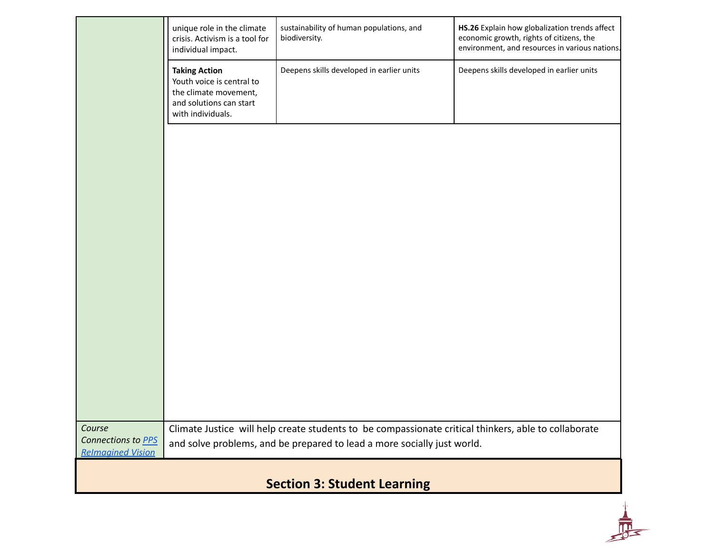|                                    | unique role in the climate<br>crisis. Activism is a tool for<br>individual impact.                                         | sustainability of human populations, and<br>biodiversity.                                            | HS.26 Explain how globalization trends affect<br>economic growth, rights of citizens, the<br>environment, and resources in various nations. |
|------------------------------------|----------------------------------------------------------------------------------------------------------------------------|------------------------------------------------------------------------------------------------------|---------------------------------------------------------------------------------------------------------------------------------------------|
|                                    | <b>Taking Action</b><br>Youth voice is central to<br>the climate movement,<br>and solutions can start<br>with individuals. | Deepens skills developed in earlier units                                                            | Deepens skills developed in earlier units                                                                                                   |
|                                    |                                                                                                                            |                                                                                                      |                                                                                                                                             |
|                                    |                                                                                                                            |                                                                                                      |                                                                                                                                             |
|                                    |                                                                                                                            |                                                                                                      |                                                                                                                                             |
|                                    |                                                                                                                            |                                                                                                      |                                                                                                                                             |
|                                    |                                                                                                                            |                                                                                                      |                                                                                                                                             |
| Course<br>Connections to PPS       |                                                                                                                            | Climate Justice will help create students to be compassionate critical thinkers, able to collaborate |                                                                                                                                             |
| <b>Relmagined Vision</b>           |                                                                                                                            | and solve problems, and be prepared to lead a more socially just world.                              |                                                                                                                                             |
| <b>Section 3: Student Learning</b> |                                                                                                                            |                                                                                                      |                                                                                                                                             |

上思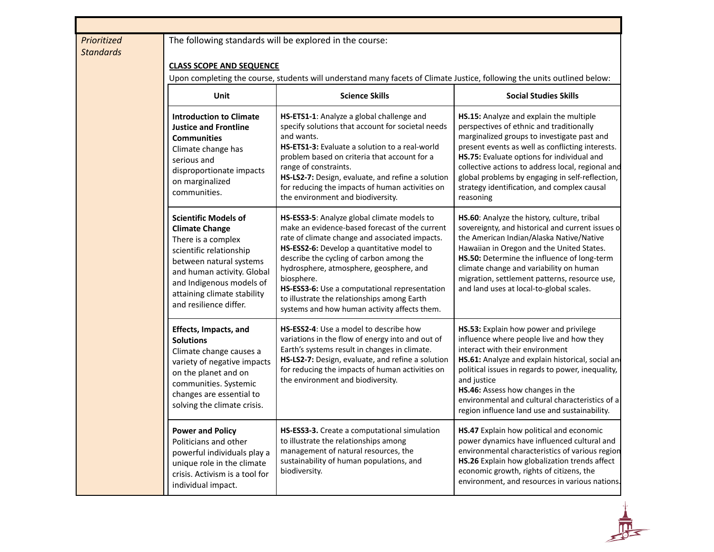## *Prioritized Standards*

## The following standards will be explored in the course:

### **CLASS SCOPE AND SEQUENCE**

Upon completing the course, students will understand many facets of Climate Justice, following the units outlined below:

| Unit                                                                                                                                                                                                                                                | <b>Science Skills</b>                                                                                                                                                                                                                                                                                                                                                                                                                              | <b>Social Studies Skills</b>                                                                                                                                                                                                                                                                                                                                                                             |
|-----------------------------------------------------------------------------------------------------------------------------------------------------------------------------------------------------------------------------------------------------|----------------------------------------------------------------------------------------------------------------------------------------------------------------------------------------------------------------------------------------------------------------------------------------------------------------------------------------------------------------------------------------------------------------------------------------------------|----------------------------------------------------------------------------------------------------------------------------------------------------------------------------------------------------------------------------------------------------------------------------------------------------------------------------------------------------------------------------------------------------------|
| <b>Introduction to Climate</b><br><b>Justice and Frontline</b><br><b>Communities</b><br>Climate change has<br>serious and<br>disproportionate impacts<br>on marginalized<br>communities.                                                            | HS-ETS1-1: Analyze a global challenge and<br>specify solutions that account for societal needs<br>and wants.<br>HS-ETS1-3: Evaluate a solution to a real-world<br>problem based on criteria that account for a<br>range of constraints.<br>HS-LS2-7: Design, evaluate, and refine a solution<br>for reducing the impacts of human activities on<br>the environment and biodiversity.                                                               | HS.15: Analyze and explain the multiple<br>perspectives of ethnic and traditionally<br>marginalized groups to investigate past and<br>present events as well as conflicting interests.<br>HS.75: Evaluate options for individual and<br>collective actions to address local, regional and<br>global problems by engaging in self-reflection,<br>strategy identification, and complex causal<br>reasoning |
| <b>Scientific Models of</b><br><b>Climate Change</b><br>There is a complex<br>scientific relationship<br>between natural systems<br>and human activity. Global<br>and Indigenous models of<br>attaining climate stability<br>and resilience differ. | HS-ESS3-5: Analyze global climate models to<br>make an evidence-based forecast of the current<br>rate of climate change and associated impacts.<br>HS-ESS2-6: Develop a quantitative model to<br>describe the cycling of carbon among the<br>hydrosphere, atmosphere, geosphere, and<br>biosphere.<br>HS-ESS3-6: Use a computational representation<br>to illustrate the relationships among Earth<br>systems and how human activity affects them. | HS.60: Analyze the history, culture, tribal<br>sovereignty, and historical and current issues o<br>the American Indian/Alaska Native/Native<br>Hawaiian in Oregon and the United States.<br>HS.50: Determine the influence of long-term<br>climate change and variability on human<br>migration, settlement patterns, resource use,<br>and land uses at local-to-global scales.                          |
| <b>Effects, Impacts, and</b><br><b>Solutions</b><br>Climate change causes a<br>variety of negative impacts<br>on the planet and on<br>communities. Systemic<br>changes are essential to<br>solving the climate crisis.                              | HS-ESS2-4: Use a model to describe how<br>variations in the flow of energy into and out of<br>Earth's systems result in changes in climate.<br>HS-LS2-7: Design, evaluate, and refine a solution<br>for reducing the impacts of human activities on<br>the environment and biodiversity.                                                                                                                                                           | HS.53: Explain how power and privilege<br>influence where people live and how they<br>interact with their environment<br>HS.61: Analyze and explain historical, social and<br>political issues in regards to power, inequality,<br>and justice<br>HS.46: Assess how changes in the<br>environmental and cultural characteristics of a<br>region influence land use and sustainability.                   |
| <b>Power and Policy</b><br>Politicians and other<br>powerful individuals play a<br>unique role in the climate<br>crisis. Activism is a tool for<br>individual impact.                                                                               | HS-ESS3-3. Create a computational simulation<br>to illustrate the relationships among<br>management of natural resources, the<br>sustainability of human populations, and<br>biodiversity.                                                                                                                                                                                                                                                         | HS.47 Explain how political and economic<br>power dynamics have influenced cultural and<br>environmental characteristics of various region<br>HS.26 Explain how globalization trends affect<br>economic growth, rights of citizens, the<br>environment, and resources in various nations.                                                                                                                |

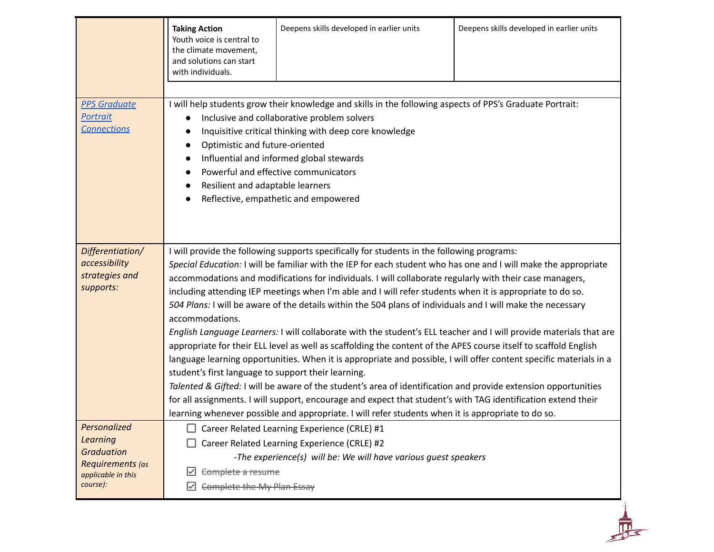|                                                                                                     | <b>Taking Action</b><br>Youth voice is central to<br>the climate movement,<br>and solutions can start<br>with individuals.                                                                                                                                                                                                                                                                                                                                                                                                                                                                                                                                                                                                                                                                                                                                                                                                                                                                                                                                                                                                                                                                                                                                                                                                               | Deepens skills developed in earlier units                                                                                                                                                                                                                                                                                                      | Deepens skills developed in earlier units |
|-----------------------------------------------------------------------------------------------------|------------------------------------------------------------------------------------------------------------------------------------------------------------------------------------------------------------------------------------------------------------------------------------------------------------------------------------------------------------------------------------------------------------------------------------------------------------------------------------------------------------------------------------------------------------------------------------------------------------------------------------------------------------------------------------------------------------------------------------------------------------------------------------------------------------------------------------------------------------------------------------------------------------------------------------------------------------------------------------------------------------------------------------------------------------------------------------------------------------------------------------------------------------------------------------------------------------------------------------------------------------------------------------------------------------------------------------------|------------------------------------------------------------------------------------------------------------------------------------------------------------------------------------------------------------------------------------------------------------------------------------------------------------------------------------------------|-------------------------------------------|
| <b>PPS Graduate</b><br>Portrait<br><b>Connections</b>                                               | Optimistic and future-oriented<br>Resilient and adaptable learners                                                                                                                                                                                                                                                                                                                                                                                                                                                                                                                                                                                                                                                                                                                                                                                                                                                                                                                                                                                                                                                                                                                                                                                                                                                                       | I will help students grow their knowledge and skills in the following aspects of PPS's Graduate Portrait:<br>Inclusive and collaborative problem solvers<br>Inquisitive critical thinking with deep core knowledge<br>Influential and informed global stewards<br>Powerful and effective communicators<br>Reflective, empathetic and empowered |                                           |
| Differentiation/<br>accessibility<br>strategies and<br>supports:                                    | I will provide the following supports specifically for students in the following programs:<br>Special Education: I will be familiar with the IEP for each student who has one and I will make the appropriate<br>accommodations and modifications for individuals. I will collaborate regularly with their case managers,<br>including attending IEP meetings when I'm able and I will refer students when it is appropriate to do so.<br>504 Plans: I will be aware of the details within the 504 plans of individuals and I will make the necessary<br>accommodations.<br>English Language Learners: I will collaborate with the student's ELL teacher and I will provide materials that are<br>appropriate for their ELL level as well as scaffolding the content of the APES course itself to scaffold English<br>language learning opportunities. When it is appropriate and possible, I will offer content specific materials in a<br>student's first language to support their learning.<br>Talented & Gifted: I will be aware of the student's area of identification and provide extension opportunities<br>for all assignments. I will support, encourage and expect that student's with TAG identification extend their<br>learning whenever possible and appropriate. I will refer students when it is appropriate to do so. |                                                                                                                                                                                                                                                                                                                                                |                                           |
| Personalized<br>Learning<br><b>Graduation</b><br>Requirements (as<br>applicable in this<br>course): | Complete a resume<br>Complete the My Plan Essay                                                                                                                                                                                                                                                                                                                                                                                                                                                                                                                                                                                                                                                                                                                                                                                                                                                                                                                                                                                                                                                                                                                                                                                                                                                                                          | Career Related Learning Experience (CRLE) #1<br>Career Related Learning Experience (CRLE) #2<br>-The experience(s) will be: We will have various guest speakers                                                                                                                                                                                |                                           |
|                                                                                                     |                                                                                                                                                                                                                                                                                                                                                                                                                                                                                                                                                                                                                                                                                                                                                                                                                                                                                                                                                                                                                                                                                                                                                                                                                                                                                                                                          |                                                                                                                                                                                                                                                                                                                                                |                                           |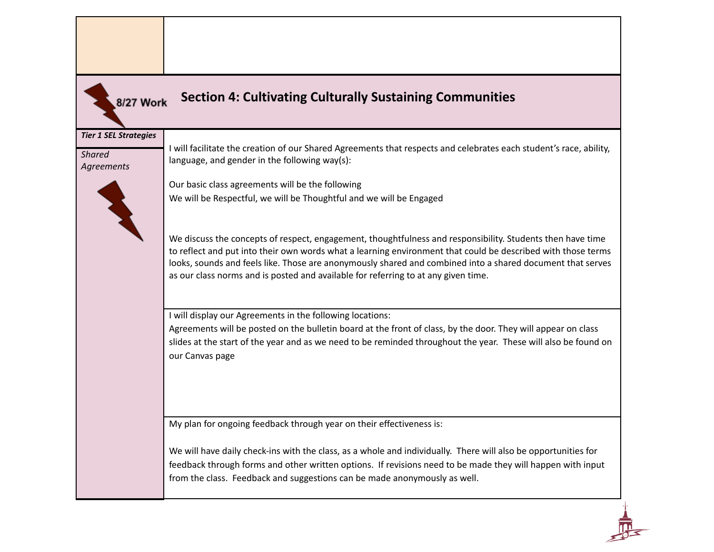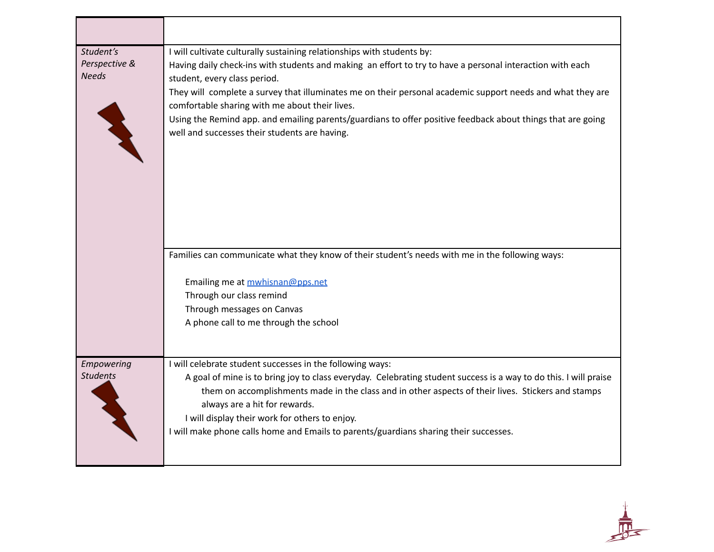| Student's<br>Perspective &<br><b>Needs</b> | I will cultivate culturally sustaining relationships with students by:<br>Having daily check-ins with students and making an effort to try to have a personal interaction with each<br>student, every class period.<br>They will complete a survey that illuminates me on their personal academic support needs and what they are<br>comfortable sharing with me about their lives.<br>Using the Remind app. and emailing parents/guardians to offer positive feedback about things that are going<br>well and successes their students are having. |
|--------------------------------------------|-----------------------------------------------------------------------------------------------------------------------------------------------------------------------------------------------------------------------------------------------------------------------------------------------------------------------------------------------------------------------------------------------------------------------------------------------------------------------------------------------------------------------------------------------------|
|                                            | Families can communicate what they know of their student's needs with me in the following ways:<br>Emailing me at mwhisnan@pps.net<br>Through our class remind<br>Through messages on Canvas<br>A phone call to me through the school                                                                                                                                                                                                                                                                                                               |
| Empowering<br><b>Students</b>              | I will celebrate student successes in the following ways:<br>A goal of mine is to bring joy to class everyday. Celebrating student success is a way to do this. I will praise<br>them on accomplishments made in the class and in other aspects of their lives. Stickers and stamps<br>always are a hit for rewards.<br>I will display their work for others to enjoy.<br>I will make phone calls home and Emails to parents/guardians sharing their successes.                                                                                     |

 $\frac{1}{\sqrt{2}}$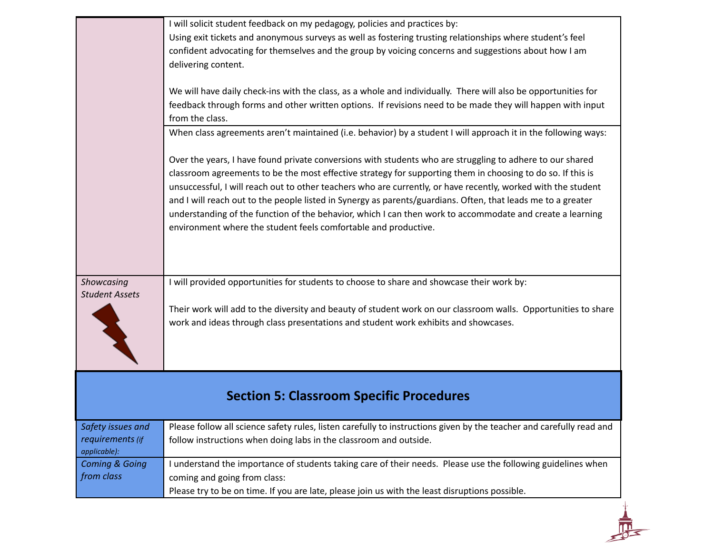|                                       | I will solicit student feedback on my pedagogy, policies and practices by:<br>Using exit tickets and anonymous surveys as well as fostering trusting relationships where student's feel<br>confident advocating for themselves and the group by voicing concerns and suggestions about how I am<br>delivering content.<br>We will have daily check-ins with the class, as a whole and individually. There will also be opportunities for<br>feedback through forms and other written options. If revisions need to be made they will happen with input<br>from the class.<br>When class agreements aren't maintained (i.e. behavior) by a student I will approach it in the following ways:<br>Over the years, I have found private conversions with students who are struggling to adhere to our shared<br>classroom agreements to be the most effective strategy for supporting them in choosing to do so. If this is<br>unsuccessful, I will reach out to other teachers who are currently, or have recently, worked with the student<br>and I will reach out to the people listed in Synergy as parents/guardians. Often, that leads me to a greater<br>understanding of the function of the behavior, which I can then work to accommodate and create a learning<br>environment where the student feels comfortable and productive. |
|---------------------------------------|------------------------------------------------------------------------------------------------------------------------------------------------------------------------------------------------------------------------------------------------------------------------------------------------------------------------------------------------------------------------------------------------------------------------------------------------------------------------------------------------------------------------------------------------------------------------------------------------------------------------------------------------------------------------------------------------------------------------------------------------------------------------------------------------------------------------------------------------------------------------------------------------------------------------------------------------------------------------------------------------------------------------------------------------------------------------------------------------------------------------------------------------------------------------------------------------------------------------------------------------------------------------------------------------------------------------------------------|
| Showcasing<br><b>Student Assets</b>   | I will provided opportunities for students to choose to share and showcase their work by:<br>Their work will add to the diversity and beauty of student work on our classroom walls. Opportunities to share<br>work and ideas through class presentations and student work exhibits and showcases.                                                                                                                                                                                                                                                                                                                                                                                                                                                                                                                                                                                                                                                                                                                                                                                                                                                                                                                                                                                                                                       |
|                                       | <b>Section 5: Classroom Specific Procedures</b>                                                                                                                                                                                                                                                                                                                                                                                                                                                                                                                                                                                                                                                                                                                                                                                                                                                                                                                                                                                                                                                                                                                                                                                                                                                                                          |
| Safety issues and<br>requirements (if | Please follow all science safety rules, listen carefully to instructions given by the teacher and carefully read and<br>follow instructions when doing labs in the classroom and outside.                                                                                                                                                                                                                                                                                                                                                                                                                                                                                                                                                                                                                                                                                                                                                                                                                                                                                                                                                                                                                                                                                                                                                |

*applicable): Coming & Going from class* I understand the importance of students taking care of their needs. Please use the following guidelines when coming and going from class: Please try to be on time. If you are late, please join us with the least disruptions possible.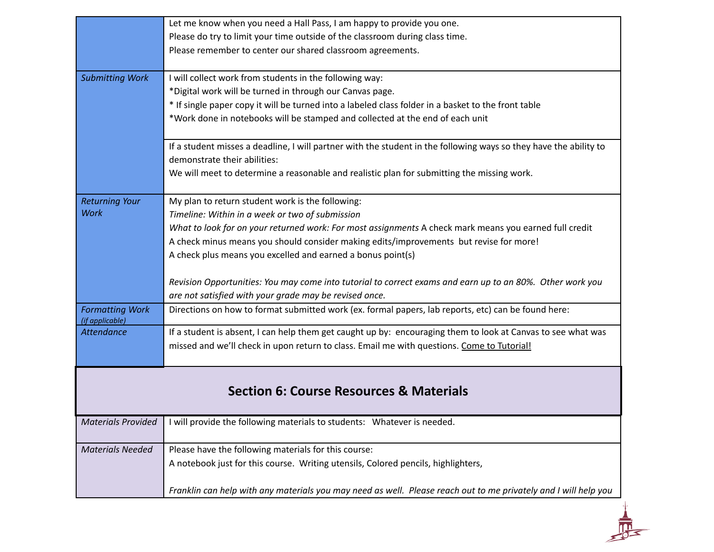|                                           | Let me know when you need a Hall Pass, I am happy to provide you one.                                             |
|-------------------------------------------|-------------------------------------------------------------------------------------------------------------------|
|                                           | Please do try to limit your time outside of the classroom during class time.                                      |
|                                           | Please remember to center our shared classroom agreements.                                                        |
|                                           |                                                                                                                   |
| <b>Submitting Work</b>                    | I will collect work from students in the following way:                                                           |
|                                           | *Digital work will be turned in through our Canvas page.                                                          |
|                                           | * If single paper copy it will be turned into a labeled class folder in a basket to the front table               |
|                                           | *Work done in notebooks will be stamped and collected at the end of each unit                                     |
|                                           | If a student misses a deadline, I will partner with the student in the following ways so they have the ability to |
|                                           | demonstrate their abilities:                                                                                      |
|                                           | We will meet to determine a reasonable and realistic plan for submitting the missing work.                        |
|                                           |                                                                                                                   |
| <b>Returning Your</b>                     | My plan to return student work is the following:                                                                  |
| <b>Work</b>                               | Timeline: Within in a week or two of submission                                                                   |
|                                           | What to look for on your returned work: For most assignments A check mark means you earned full credit            |
|                                           | A check minus means you should consider making edits/improvements but revise for more!                            |
|                                           | A check plus means you excelled and earned a bonus point(s)                                                       |
|                                           |                                                                                                                   |
|                                           | Revision Opportunities: You may come into tutorial to correct exams and earn up to an 80%. Other work you         |
|                                           | are not satisfied with your grade may be revised once.                                                            |
| <b>Formatting Work</b><br>(if applicable) | Directions on how to format submitted work (ex. formal papers, lab reports, etc) can be found here:               |
| <b>Attendance</b>                         | If a student is absent, I can help them get caught up by: encouraging them to look at Canvas to see what was      |
|                                           | missed and we'll check in upon return to class. Email me with questions. Come to Tutorial!                        |
|                                           |                                                                                                                   |
|                                           |                                                                                                                   |
|                                           | <b>Section 6: Course Resources &amp; Materials</b>                                                                |
| <b>Materials Provided</b>                 | I will provide the following materials to students: Whatever is needed.                                           |
|                                           |                                                                                                                   |
| <b>Materials Needed</b>                   | Please have the following materials for this course:                                                              |
|                                           | A notebook just for this course. Writing utensils, Colored pencils, highlighters,                                 |
|                                           | Franklin can help with any materials you may need as well. Please reach out to me privately and I will help you   |
|                                           |                                                                                                                   |
|                                           |                                                                                                                   |
|                                           |                                                                                                                   |
|                                           |                                                                                                                   |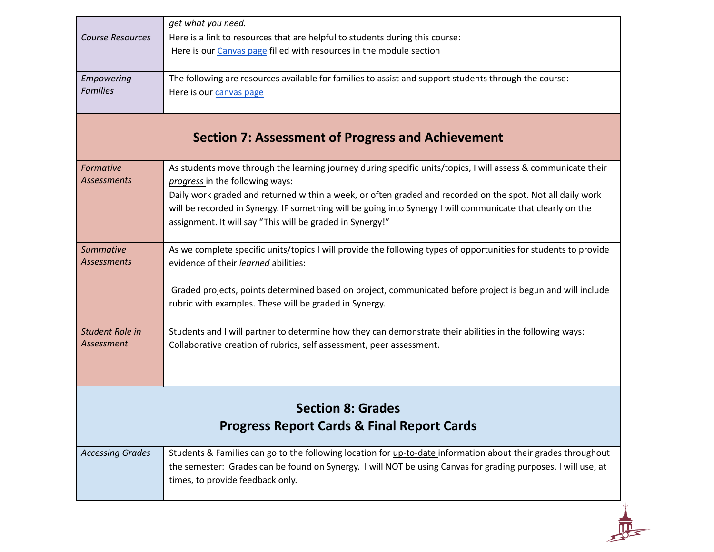|                         | get what you need.                                                                                               |
|-------------------------|------------------------------------------------------------------------------------------------------------------|
| <b>Course Resources</b> | Here is a link to resources that are helpful to students during this course:                                     |
|                         | Here is our Canvas page filled with resources in the module section                                              |
|                         |                                                                                                                  |
| Empowering              | The following are resources available for families to assist and support students through the course:            |
| <b>Families</b>         | Here is our canvas page                                                                                          |
|                         |                                                                                                                  |
|                         |                                                                                                                  |
|                         | <b>Section 7: Assessment of Progress and Achievement</b>                                                         |
| Formative               | As students move through the learning journey during specific units/topics, I will assess & communicate their    |
| <b>Assessments</b>      | progress in the following ways:                                                                                  |
|                         | Daily work graded and returned within a week, or often graded and recorded on the spot. Not all daily work       |
|                         | will be recorded in Synergy. IF something will be going into Synergy I will communicate that clearly on the      |
|                         | assignment. It will say "This will be graded in Synergy!"                                                        |
|                         |                                                                                                                  |
| <b>Summative</b>        | As we complete specific units/topics I will provide the following types of opportunities for students to provide |
| Assessments             | evidence of their learned abilities:                                                                             |
|                         |                                                                                                                  |
|                         | Graded projects, points determined based on project, communicated before project is begun and will include       |
|                         | rubric with examples. These will be graded in Synergy.                                                           |
|                         |                                                                                                                  |
| Student Role in         | Students and I will partner to determine how they can demonstrate their abilities in the following ways:         |
| Assessment              | Collaborative creation of rubrics, self assessment, peer assessment.                                             |
|                         |                                                                                                                  |
|                         |                                                                                                                  |
|                         |                                                                                                                  |
|                         | <b>Section 8: Grades</b>                                                                                         |
|                         | <b>Progress Report Cards &amp; Final Report Cards</b>                                                            |
|                         |                                                                                                                  |
| <b>Accessing Grades</b> | Students & Families can go to the following location for up-to-date information about their grades throughout    |
|                         | the semester: Grades can be found on Synergy. I will NOT be using Canvas for grading purposes. I will use, at    |
|                         | times, to provide feedback only.                                                                                 |
|                         |                                                                                                                  |
|                         |                                                                                                                  |
|                         |                                                                                                                  |
|                         |                                                                                                                  |